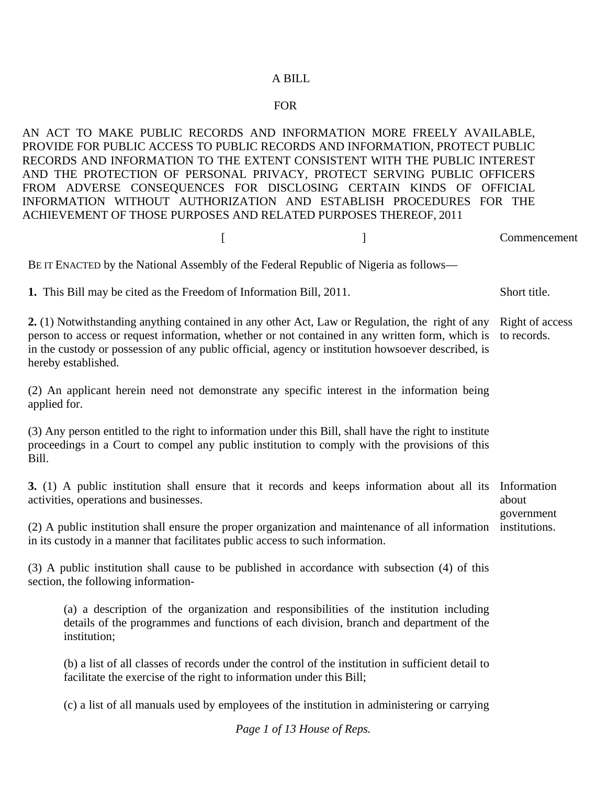## A BILL

## FOR

AN ACT TO MAKE PUBLIC RECORDS AND INFORMATION MORE FREELY AVAILABLE, PROVIDE FOR PUBLIC ACCESS TO PUBLIC RECORDS AND INFORMATION, PROTECT PUBLIC RECORDS AND INFORMATION TO THE EXTENT CONSISTENT WITH THE PUBLIC INTEREST AND THE PROTECTION OF PERSONAL PRIVACY, PROTECT SERVING PUBLIC OFFICERS FROM ADVERSE CONSEQUENCES FOR DISCLOSING CERTAIN KINDS OF OFFICIAL INFORMATION WITHOUT AUTHORIZATION AND ESTABLISH PROCEDURES FOR THE ACHIEVEMENT OF THOSE PURPOSES AND RELATED PURPOSES THEREOF, 2011

 [ ] Commencement BE IT ENACTED by the National Assembly of the Federal Republic of Nigeria as follows— **1.** This Bill may be cited as the Freedom of Information Bill, 2011. Short title. **2.** (1) Notwithstanding anything contained in any other Act, Law or Regulation, the right of any person to access or request information, whether or not contained in any written form, which is in the custody or possession of any public official, agency or institution howsoever described, is hereby established. (2) An applicant herein need not demonstrate any specific interest in the information being applied for. (3) Any person entitled to the right to information under this Bill, shall have the right to institute proceedings in a Court to compel any public institution to comply with the provisions of this Bill. Right of access to records. **3.** (1) A public institution shall ensure that it records and keeps information about all its Information activities, operations and businesses. (2) A public institution shall ensure the proper organization and maintenance of all information institutions. in its custody in a manner that facilitates public access to such information. about government

(3) A public institution shall cause to be published in accordance with subsection (4) of this section, the following information-

(a) a description of the organization and responsibilities of the institution including details of the programmes and functions of each division, branch and department of the institution;

(b) a list of all classes of records under the control of the institution in sufficient detail to facilitate the exercise of the right to information under this Bill;

(c) a list of all manuals used by employees of the institution in administering or carrying

*Page 1 of 13 House of Reps.*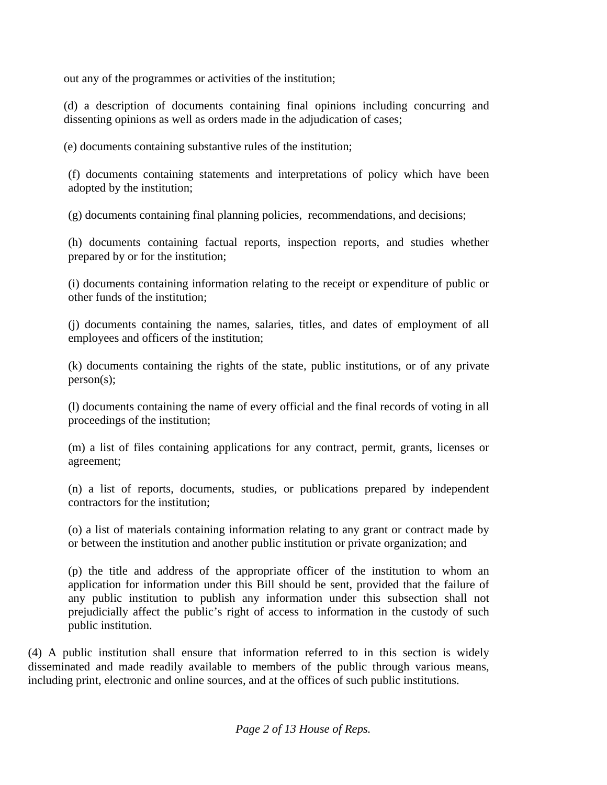out any of the programmes or activities of the institution;

(d) a description of documents containing final opinions including concurring and dissenting opinions as well as orders made in the adjudication of cases;

(e) documents containing substantive rules of the institution;

(f) documents containing statements and interpretations of policy which have been adopted by the institution;

(g) documents containing final planning policies, recommendations, and decisions;

(h) documents containing factual reports, inspection reports, and studies whether prepared by or for the institution;

(i) documents containing information relating to the receipt or expenditure of public or other funds of the institution;

(j) documents containing the names, salaries, titles, and dates of employment of all employees and officers of the institution;

(k) documents containing the rights of the state, public institutions, or of any private person(s);

(l) documents containing the name of every official and the final records of voting in all proceedings of the institution;

(m) a list of files containing applications for any contract, permit, grants, licenses or agreement;

(n) a list of reports, documents, studies, or publications prepared by independent contractors for the institution;

(o) a list of materials containing information relating to any grant or contract made by or between the institution and another public institution or private organization; and

(p) the title and address of the appropriate officer of the institution to whom an application for information under this Bill should be sent, provided that the failure of any public institution to publish any information under this subsection shall not prejudicially affect the public's right of access to information in the custody of such public institution.

(4) A public institution shall ensure that information referred to in this section is widely disseminated and made readily available to members of the public through various means, including print, electronic and online sources, and at the offices of such public institutions.

*Page 2 of 13 House of Reps.*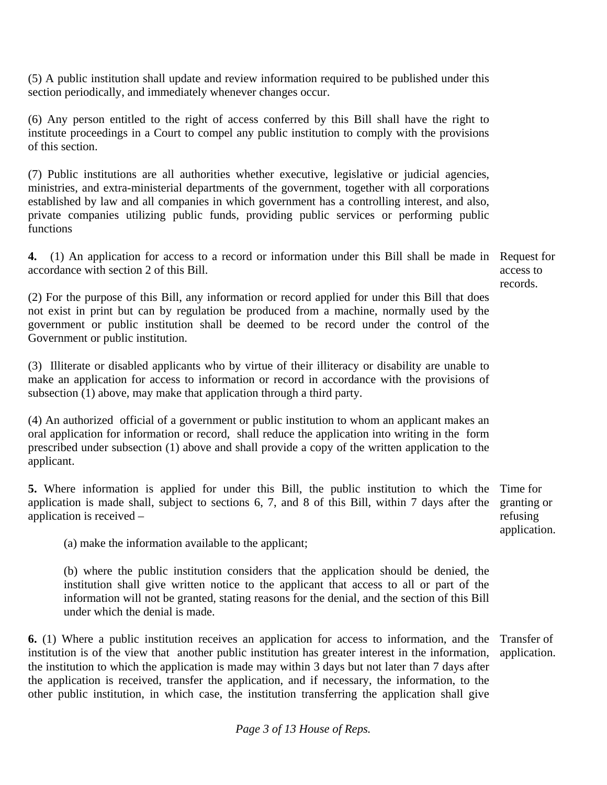(5) A public institution shall update and review information required to be published under this section periodically, and immediately whenever changes occur.

(6) Any person entitled to the right of access conferred by this Bill shall have the right to institute proceedings in a Court to compel any public institution to comply with the provisions of this section.

(7) Public institutions are all authorities whether executive, legislative or judicial agencies, ministries, and extra-ministerial departments of the government, together with all corporations established by law and all companies in which government has a controlling interest, and also, private companies utilizing public funds, providing public services or performing public functions

**4.** (1) An application for access to a record or information under this Bill shall be made in Request for accordance with section 2 of this Bill.

access to records.

(2) For the purpose of this Bill, any information or record applied for under this Bill that does not exist in print but can by regulation be produced from a machine, normally used by the government or public institution shall be deemed to be record under the control of the Government or public institution.

(3) Illiterate or disabled applicants who by virtue of their illiteracy or disability are unable to make an application for access to information or record in accordance with the provisions of subsection (1) above, may make that application through a third party.

(4) An authorized official of a government or public institution to whom an applicant makes an oral application for information or record, shall reduce the application into writing in the form prescribed under subsection (1) above and shall provide a copy of the written application to the applicant.

**5.** Where information is applied for under this Bill, the public institution to which the Time for application is made shall, subject to sections 6, 7, and 8 of this Bill, within 7 days after the application is received – granting or refusing

application.

(a) make the information available to the applicant;

(b) where the public institution considers that the application should be denied, the institution shall give written notice to the applicant that access to all or part of the information will not be granted, stating reasons for the denial, and the section of this Bill under which the denial is made.

**6.** (1) Where a public institution receives an application for access to information, and the institution is of the view that another public institution has greater interest in the information, the institution to which the application is made may within 3 days but not later than 7 days after the application is received, transfer the application, and if necessary, the information, to the other public institution, in which case, the institution transferring the application shall give Transfer of application.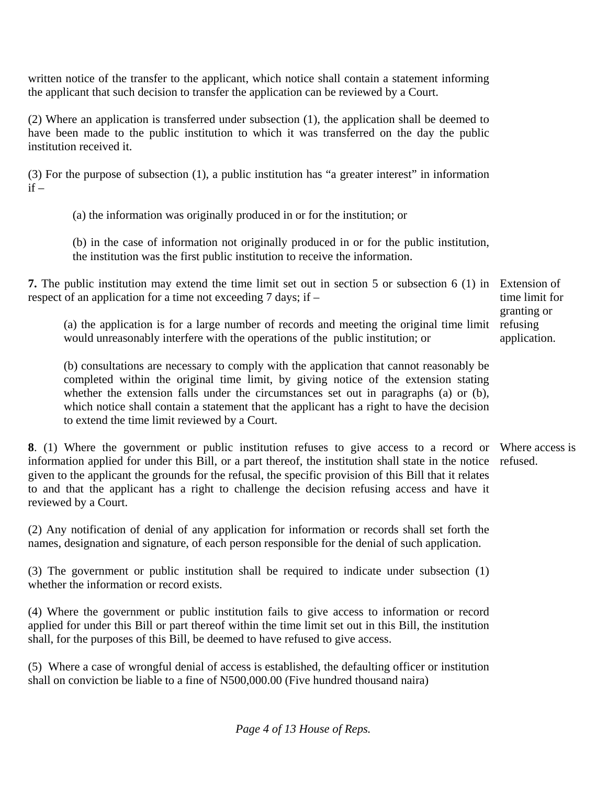written notice of the transfer to the applicant, which notice shall contain a statement informing the applicant that such decision to transfer the application can be reviewed by a Court.

(2) Where an application is transferred under subsection (1), the application shall be deemed to have been made to the public institution to which it was transferred on the day the public institution received it.

(3) For the purpose of subsection (1), a public institution has "a greater interest" in information  $if -$ 

(a) the information was originally produced in or for the institution; or

(b) in the case of information not originally produced in or for the public institution, the institution was the first public institution to receive the information.

**7.** The public institution may extend the time limit set out in section 5 or subsection 6 (1) in Extension of respect of an application for a time not exceeding 7 days; if –

(a) the application is for a large number of records and meeting the original time limit would unreasonably interfere with the operations of the public institution; or

(b) consultations are necessary to comply with the application that cannot reasonably be completed within the original time limit, by giving notice of the extension stating whether the extension falls under the circumstances set out in paragraphs (a) or (b), which notice shall contain a statement that the applicant has a right to have the decision to extend the time limit reviewed by a Court.

**8**. (1) Where the government or public institution refuses to give access to a record or Where access is information applied for under this Bill, or a part thereof, the institution shall state in the notice refused. given to the applicant the grounds for the refusal, the specific provision of this Bill that it relates to and that the applicant has a right to challenge the decision refusing access and have it reviewed by a Court.

(2) Any notification of denial of any application for information or records shall set forth the names, designation and signature, of each person responsible for the denial of such application.

(3) The government or public institution shall be required to indicate under subsection (1) whether the information or record exists.

(4) Where the government or public institution fails to give access to information or record applied for under this Bill or part thereof within the time limit set out in this Bill, the institution shall, for the purposes of this Bill, be deemed to have refused to give access.

(5) Where a case of wrongful denial of access is established, the defaulting officer or institution shall on conviction be liable to a fine of N500,000.00 (Five hundred thousand naira)

*Page 4 of 13 House of Reps.* 

time limit for granting or refusing application.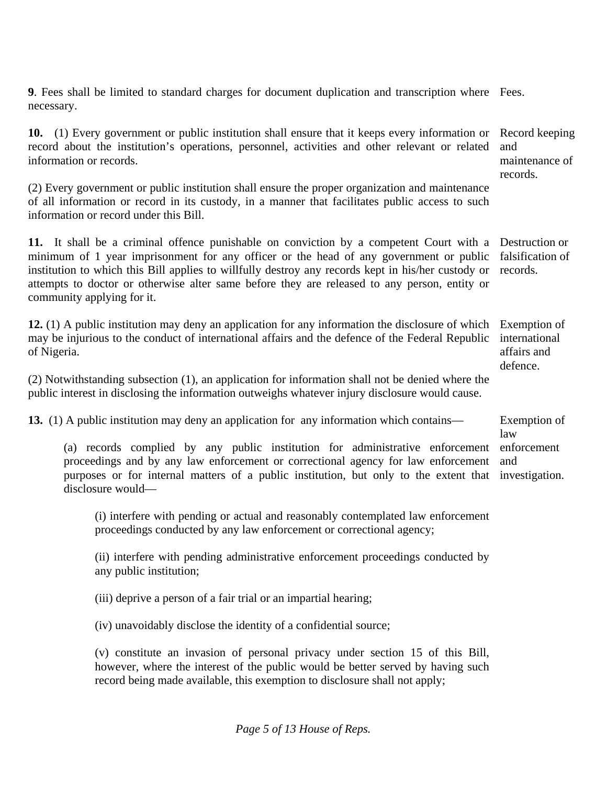**9**. Fees shall be limited to standard charges for document duplication and transcription where Fees. necessary.

**10.** (1) Every government or public institution shall ensure that it keeps every information or record about the institution's operations, personnel, activities and other relevant or related information or records. Record keeping and maintenance of

records.

(2) Every government or public institution shall ensure the proper organization and maintenance of all information or record in its custody, in a manner that facilitates public access to such information or record under this Bill.

**11.** It shall be a criminal offence punishable on conviction by a competent Court with a Destruction or minimum of 1 year imprisonment for any officer or the head of any government or public institution to which this Bill applies to willfully destroy any records kept in his/her custody or attempts to doctor or otherwise alter same before they are released to any person, entity or community applying for it. falsification of records.

**12.** (1) A public institution may deny an application for any information the disclosure of which may be injurious to the conduct of international affairs and the defence of the Federal Republic of Nigeria. Exemption of international affairs and defence.

(2) Notwithstanding subsection (1), an application for information shall not be denied where the public interest in disclosing the information outweighs whatever injury disclosure would cause.

**13.** (1) A public institution may deny an application for any information which contains— Exemption of

(a) records complied by any public institution for administrative enforcement enforcement proceedings and by any law enforcement or correctional agency for law enforcement purposes or for internal matters of a public institution, but only to the extent that investigation. disclosure would law and

(i) interfere with pending or actual and reasonably contemplated law enforcement proceedings conducted by any law enforcement or correctional agency;

(ii) interfere with pending administrative enforcement proceedings conducted by any public institution;

(iii) deprive a person of a fair trial or an impartial hearing;

(iv) unavoidably disclose the identity of a confidential source;

(v) constitute an invasion of personal privacy under section 15 of this Bill, however, where the interest of the public would be better served by having such record being made available, this exemption to disclosure shall not apply;

*Page 5 of 13 House of Reps.*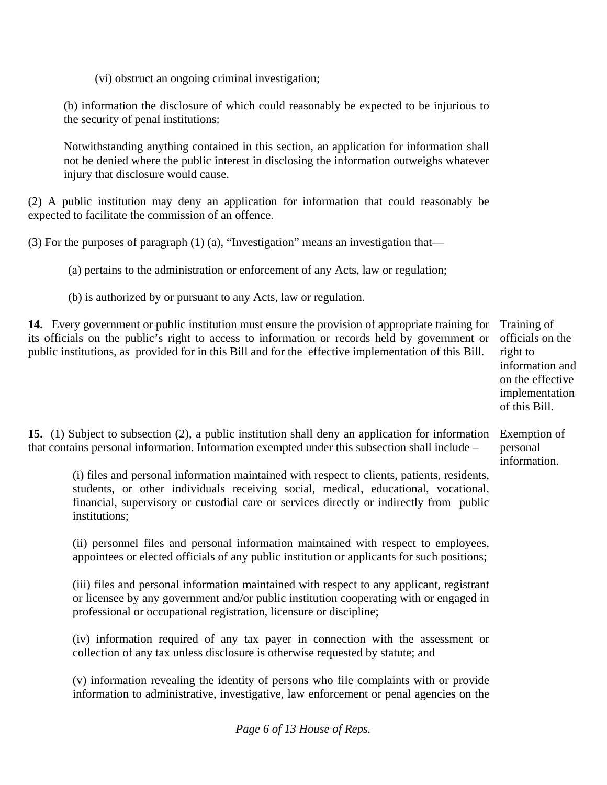(vi) obstruct an ongoing criminal investigation;

(b) information the disclosure of which could reasonably be expected to be injurious to the security of penal institutions:

Notwithstanding anything contained in this section, an application for information shall not be denied where the public interest in disclosing the information outweighs whatever injury that disclosure would cause.

(2) A public institution may deny an application for information that could reasonably be expected to facilitate the commission of an offence.

(3) For the purposes of paragraph  $(1)$  (a), "Investigation" means an investigation that—

(a) pertains to the administration or enforcement of any Acts, law or regulation;

(b) is authorized by or pursuant to any Acts, law or regulation.

**14.** Every government or public institution must ensure the provision of appropriate training for its officials on the public's right to access to information or records held by government or public institutions, as provided for in this Bill and for the effective implementation of this Bill.

Training of officials on the right to information and on the effective implementation of this Bill.

Exemption of personal information.

**15.** (1) Subject to subsection (2), a public institution shall deny an application for information that contains personal information. Information exempted under this subsection shall include –

(i) files and personal information maintained with respect to clients, patients, residents, students, or other individuals receiving social, medical, educational, vocational, financial, supervisory or custodial care or services directly or indirectly from public institutions;

(ii) personnel files and personal information maintained with respect to employees, appointees or elected officials of any public institution or applicants for such positions;

(iii) files and personal information maintained with respect to any applicant, registrant or licensee by any government and/or public institution cooperating with or engaged in professional or occupational registration, licensure or discipline;

(iv) information required of any tax payer in connection with the assessment or collection of any tax unless disclosure is otherwise requested by statute; and

(v) information revealing the identity of persons who file complaints with or provide information to administrative, investigative, law enforcement or penal agencies on the

*Page 6 of 13 House of Reps.*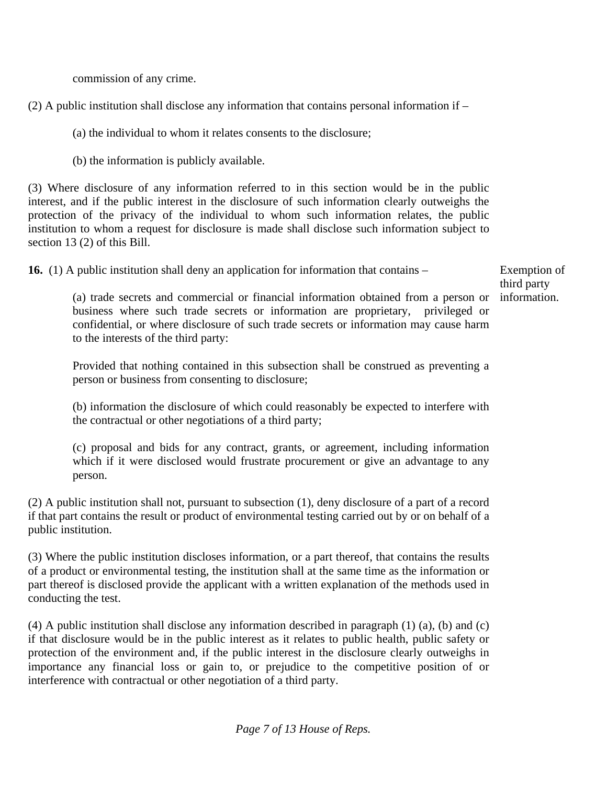commission of any crime.

 $(2)$  A public institution shall disclose any information that contains personal information if –

(a) the individual to whom it relates consents to the disclosure;

(b) the information is publicly available.

(3) Where disclosure of any information referred to in this section would be in the public interest, and if the public interest in the disclosure of such information clearly outweighs the protection of the privacy of the individual to whom such information relates, the public institution to whom a request for disclosure is made shall disclose such information subject to section 13 (2) of this Bill.

**16.** (1) A public institution shall deny an application for information that contains –

Exemption of third party information.

(a) trade secrets and commercial or financial information obtained from a person or business where such trade secrets or information are proprietary, privileged or confidential, or where disclosure of such trade secrets or information may cause harm to the interests of the third party:

Provided that nothing contained in this subsection shall be construed as preventing a person or business from consenting to disclosure;

(b) information the disclosure of which could reasonably be expected to interfere with the contractual or other negotiations of a third party;

(c) proposal and bids for any contract, grants, or agreement, including information which if it were disclosed would frustrate procurement or give an advantage to any person.

(2) A public institution shall not, pursuant to subsection (1), deny disclosure of a part of a record if that part contains the result or product of environmental testing carried out by or on behalf of a public institution.

(3) Where the public institution discloses information, or a part thereof, that contains the results of a product or environmental testing, the institution shall at the same time as the information or part thereof is disclosed provide the applicant with a written explanation of the methods used in conducting the test.

(4) A public institution shall disclose any information described in paragraph (1) (a), (b) and (c) if that disclosure would be in the public interest as it relates to public health, public safety or protection of the environment and, if the public interest in the disclosure clearly outweighs in importance any financial loss or gain to, or prejudice to the competitive position of or interference with contractual or other negotiation of a third party.

*Page 7 of 13 House of Reps.*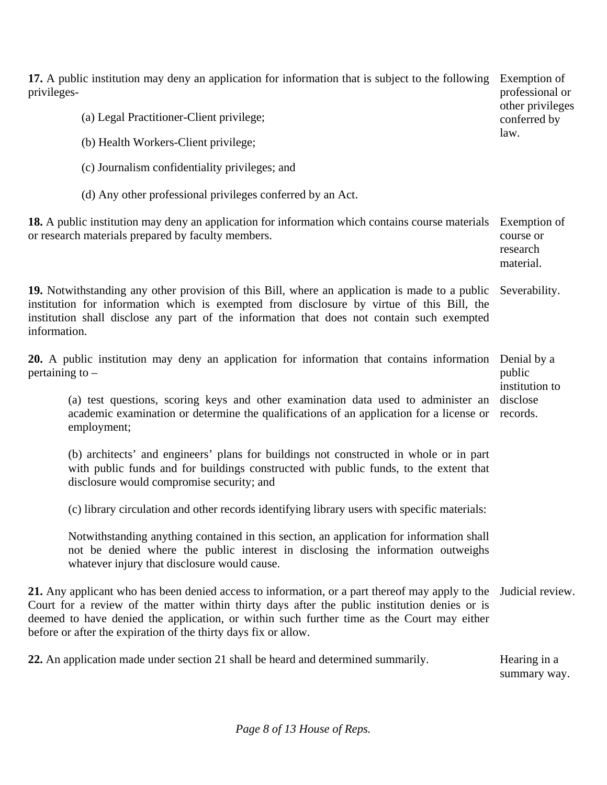| 17. A public institution may deny an application for information that is subject to the following<br>privileges-                                                                                                                                                                                                                                                  | Exemption of<br>professional or<br>other privileges<br>conferred by<br>law. |
|-------------------------------------------------------------------------------------------------------------------------------------------------------------------------------------------------------------------------------------------------------------------------------------------------------------------------------------------------------------------|-----------------------------------------------------------------------------|
| (a) Legal Practitioner-Client privilege;                                                                                                                                                                                                                                                                                                                          |                                                                             |
| (b) Health Workers-Client privilege;                                                                                                                                                                                                                                                                                                                              |                                                                             |
| (c) Journalism confidentiality privileges; and                                                                                                                                                                                                                                                                                                                    |                                                                             |
| (d) Any other professional privileges conferred by an Act.                                                                                                                                                                                                                                                                                                        |                                                                             |
| 18. A public institution may deny an application for information which contains course materials<br>or research materials prepared by faculty members.                                                                                                                                                                                                            | Exemption of<br>course or<br>research<br>material.                          |
| 19. Notwithstanding any other provision of this Bill, where an application is made to a public<br>institution for information which is exempted from disclosure by virtue of this Bill, the<br>institution shall disclose any part of the information that does not contain such exempted<br>information.                                                         | Severability.                                                               |
| 20. A public institution may deny an application for information that contains information<br>pertaining to $-$                                                                                                                                                                                                                                                   | Denial by a<br>public<br>institution to                                     |
| (a) test questions, scoring keys and other examination data used to administer an<br>academic examination or determine the qualifications of an application for a license or<br>employment;                                                                                                                                                                       | disclose<br>records.                                                        |
| (b) architects' and engineers' plans for buildings not constructed in whole or in part<br>with public funds and for buildings constructed with public funds, to the extent that<br>disclosure would compromise security; and                                                                                                                                      |                                                                             |
| (c) library circulation and other records identifying library users with specific materials:                                                                                                                                                                                                                                                                      |                                                                             |
| Notwithstanding anything contained in this section, an application for information shall<br>not be denied where the public interest in disclosing the information outweighs<br>whatever injury that disclosure would cause.                                                                                                                                       |                                                                             |
| 21. Any applicant who has been denied access to information, or a part thereof may apply to the<br>Court for a review of the matter within thirty days after the public institution denies or is<br>deemed to have denied the application, or within such further time as the Court may either<br>before or after the expiration of the thirty days fix or allow. | Judicial review.                                                            |
| 22. An application made under section 21 shall be heard and determined summarily.                                                                                                                                                                                                                                                                                 | Hearing in a<br>summary way.                                                |

*Page 8 of 13 House of Reps.*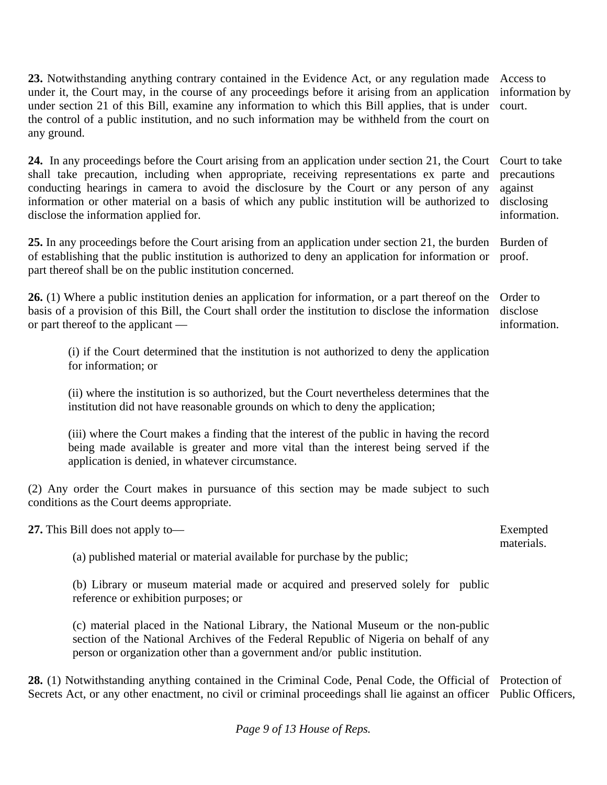**23.** Notwithstanding anything contrary contained in the Evidence Act, or any regulation made under it, the Court may, in the course of any proceedings before it arising from an application under section 21 of this Bill, examine any information to which this Bill applies, that is under the control of a public institution, and no such information may be withheld from the court on any ground. Access to information by court.

24. In any proceedings before the Court arising from an application under section 21, the Court Court to take shall take precaution, including when appropriate, receiving representations ex parte and conducting hearings in camera to avoid the disclosure by the Court or any person of any information or other material on a basis of which any public institution will be authorized to disclose the information applied for. precautions against disclosing information.

25. In any proceedings before the Court arising from an application under section 21, the burden Burden of of establishing that the public institution is authorized to deny an application for information or part thereof shall be on the public institution concerned. proof.

**26.** (1) Where a public institution denies an application for information, or a part thereof on the basis of a provision of this Bill, the Court shall order the institution to disclose the information or part thereof to the applicant — Order to disclose

(i) if the Court determined that the institution is not authorized to deny the application for information; or

(ii) where the institution is so authorized, but the Court nevertheless determines that the institution did not have reasonable grounds on which to deny the application;

(iii) where the Court makes a finding that the interest of the public in having the record being made available is greater and more vital than the interest being served if the application is denied, in whatever circumstance.

(2) Any order the Court makes in pursuance of this section may be made subject to such conditions as the Court deems appropriate.

**27.** This Bill does not apply to—

(a) published material or material available for purchase by the public;

(b) Library or museum material made or acquired and preserved solely for public reference or exhibition purposes; or

(c) material placed in the National Library, the National Museum or the non-public section of the National Archives of the Federal Republic of Nigeria on behalf of any person or organization other than a government and/or public institution.

**28.** (1) Notwithstanding anything contained in the Criminal Code, Penal Code, the Official of Protection of Secrets Act, or any other enactment, no civil or criminal proceedings shall lie against an officer Public Officers,

*Page 9 of 13 House of Reps.* 

Exempted materials.

information.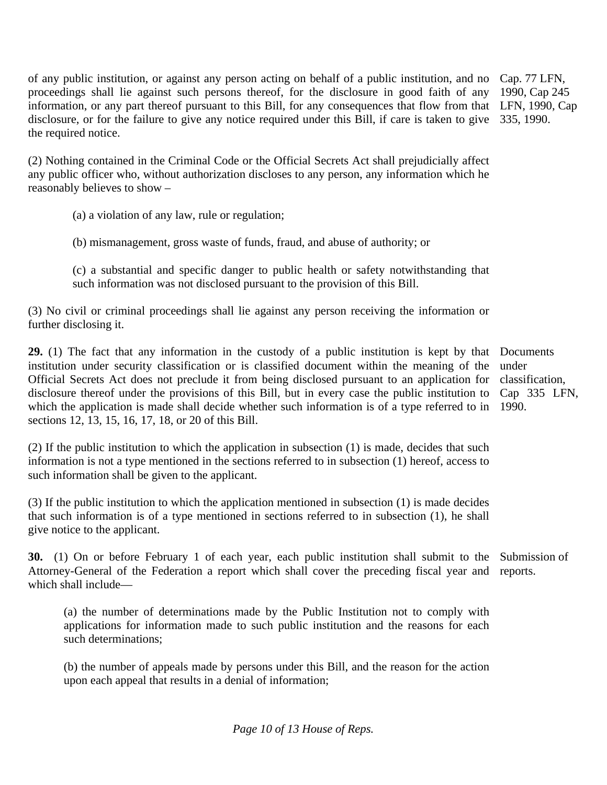of any public institution, or against any person acting on behalf of a public institution, and no Cap. 77 LFN, proceedings shall lie against such persons thereof, for the disclosure in good faith of any information, or any part thereof pursuant to this Bill, for any consequences that flow from that LFN, 1990, Cap disclosure, or for the failure to give any notice required under this Bill, if care is taken to give 335, 1990. the required notice.

(2) Nothing contained in the Criminal Code or the Official Secrets Act shall prejudicially affect any public officer who, without authorization discloses to any person, any information which he reasonably believes to show –

(a) a violation of any law, rule or regulation;

(b) mismanagement, gross waste of funds, fraud, and abuse of authority; or

(c) a substantial and specific danger to public health or safety notwithstanding that such information was not disclosed pursuant to the provision of this Bill.

(3) No civil or criminal proceedings shall lie against any person receiving the information or further disclosing it.

**29.** (1) The fact that any information in the custody of a public institution is kept by that Documents institution under security classification or is classified document within the meaning of the Official Secrets Act does not preclude it from being disclosed pursuant to an application for disclosure thereof under the provisions of this Bill, but in every case the public institution to which the application is made shall decide whether such information is of a type referred to in sections 12, 13, 15, 16, 17, 18, or 20 of this Bill.

(2) If the public institution to which the application in subsection (1) is made, decides that such information is not a type mentioned in the sections referred to in subsection (1) hereof, access to such information shall be given to the applicant.

(3) If the public institution to which the application mentioned in subsection (1) is made decides that such information is of a type mentioned in sections referred to in subsection (1), he shall give notice to the applicant.

**30.** (1) On or before February 1 of each year, each public institution shall submit to the Submission of Attorney-General of the Federation a report which shall cover the preceding fiscal year and reports. which shall include—

(a) the number of determinations made by the Public Institution not to comply with applications for information made to such public institution and the reasons for each such determinations;

(b) the number of appeals made by persons under this Bill, and the reason for the action upon each appeal that results in a denial of information;

1990, Cap 245

under classification, Cap 335 LFN, 1990.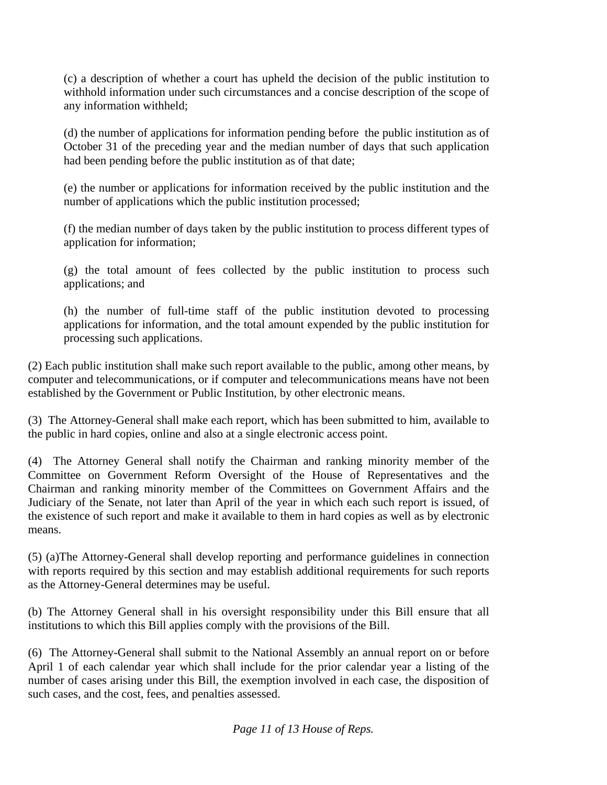(c) a description of whether a court has upheld the decision of the public institution to withhold information under such circumstances and a concise description of the scope of any information withheld;

(d) the number of applications for information pending before the public institution as of October 31 of the preceding year and the median number of days that such application had been pending before the public institution as of that date;

(e) the number or applications for information received by the public institution and the number of applications which the public institution processed;

(f) the median number of days taken by the public institution to process different types of application for information;

(g) the total amount of fees collected by the public institution to process such applications; and

(h) the number of full-time staff of the public institution devoted to processing applications for information, and the total amount expended by the public institution for processing such applications.

(2) Each public institution shall make such report available to the public, among other means, by computer and telecommunications, or if computer and telecommunications means have not been established by the Government or Public Institution, by other electronic means.

(3) The Attorney-General shall make each report, which has been submitted to him, available to the public in hard copies, online and also at a single electronic access point.

(4) The Attorney General shall notify the Chairman and ranking minority member of the Committee on Government Reform Oversight of the House of Representatives and the Chairman and ranking minority member of the Committees on Government Affairs and the Judiciary of the Senate, not later than April of the year in which each such report is issued, of the existence of such report and make it available to them in hard copies as well as by electronic means.

(5) (a)The Attorney-General shall develop reporting and performance guidelines in connection with reports required by this section and may establish additional requirements for such reports as the Attorney-General determines may be useful.

(b) The Attorney General shall in his oversight responsibility under this Bill ensure that all institutions to which this Bill applies comply with the provisions of the Bill.

(6) The Attorney-General shall submit to the National Assembly an annual report on or before April 1 of each calendar year which shall include for the prior calendar year a listing of the number of cases arising under this Bill, the exemption involved in each case, the disposition of such cases, and the cost, fees, and penalties assessed.

*Page 11 of 13 House of Reps.*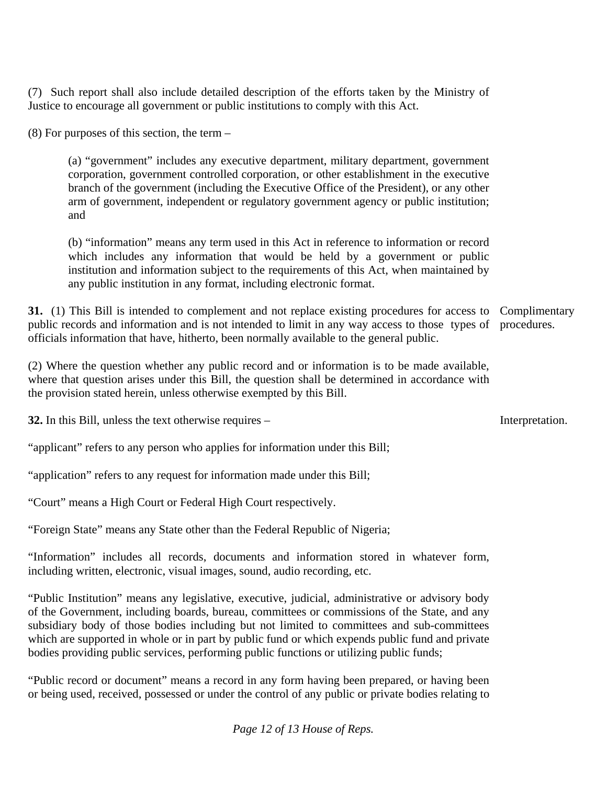(7) Such report shall also include detailed description of the efforts taken by the Ministry of Justice to encourage all government or public institutions to comply with this Act.

(8) For purposes of this section, the term –

(a) "government" includes any executive department, military department, government corporation, government controlled corporation, or other establishment in the executive branch of the government (including the Executive Office of the President), or any other arm of government, independent or regulatory government agency or public institution; and

(b) "information" means any term used in this Act in reference to information or record which includes any information that would be held by a government or public institution and information subject to the requirements of this Act, when maintained by any public institution in any format, including electronic format.

**31.** (1) This Bill is intended to complement and not replace existing procedures for access to Complimentary public records and information and is not intended to limit in any way access to those types of officials information that have, hitherto, been normally available to the general public. procedures.

(2) Where the question whether any public record and or information is to be made available, where that question arises under this Bill, the question shall be determined in accordance with the provision stated herein, unless otherwise exempted by this Bill.

**32.** In this Bill, unless the text otherwise requires –

"applicant" refers to any person who applies for information under this Bill;

"application" refers to any request for information made under this Bill;

"Court" means a High Court or Federal High Court respectively.

"Foreign State" means any State other than the Federal Republic of Nigeria;

"Information" includes all records, documents and information stored in whatever form, including written, electronic, visual images, sound, audio recording, etc.

"Public Institution" means any legislative, executive, judicial, administrative or advisory body of the Government, including boards, bureau, committees or commissions of the State, and any subsidiary body of those bodies including but not limited to committees and sub-committees which are supported in whole or in part by public fund or which expends public fund and private bodies providing public services, performing public functions or utilizing public funds;

"Public record or document" means a record in any form having been prepared, or having been or being used, received, possessed or under the control of any public or private bodies relating to

*Page 12 of 13 House of Reps.* 

Interpretation.